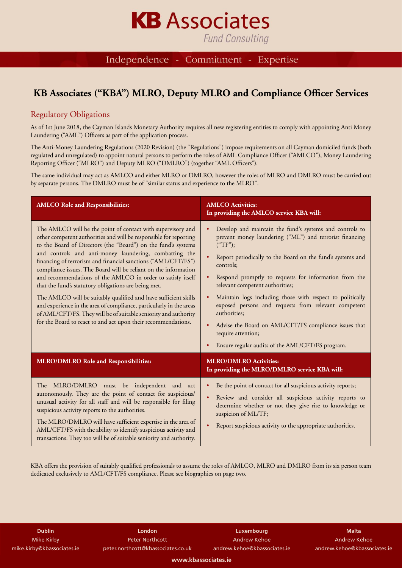# **Fund Consulting**

Independence - Commitment -Expertise

**KB** Associates

## **KB Associates ("KBA") MLRO, Deputy MLRO and Compliance Officer Services**

### Regulatory Obligations

As of 1st June 2018, the Cayman Islands Monetary Authority requires all new registering entities to comply with appointing Anti Money Laundering ("AML") Officers as part of the application process.

The Anti-Money Laundering Regulations (2020 Revision) (the "Regulations") impose requirements on all Cayman domiciled funds (both regulated and unregulated) to appoint natural persons to perform the roles of AML Compliance Officer ("AMLCO"), Money Laundering Reporting Officer ("MLRO") and Deputy MLRO ("DMLRO") (together "AML Officers").

The same individual may act as AMLCO and either MLRO or DMLRO, however the roles of MLRO and DMLRO must be carried out by separate persons. The DMLRO must be of "similar status and experience to the MLRO".

| <b>AMLCO Role and Responsibilities:</b>                                                                                                                                                                                                                                                                                                                                                                                                                                                                                                                                                                                                                                                                                                                                                              | <b>AMLCO</b> Activities:<br>In providing the AMLCO service KBA will:                                                                                                                                                                                                                                                                                                                                                                                                                                                                                                         |
|------------------------------------------------------------------------------------------------------------------------------------------------------------------------------------------------------------------------------------------------------------------------------------------------------------------------------------------------------------------------------------------------------------------------------------------------------------------------------------------------------------------------------------------------------------------------------------------------------------------------------------------------------------------------------------------------------------------------------------------------------------------------------------------------------|------------------------------------------------------------------------------------------------------------------------------------------------------------------------------------------------------------------------------------------------------------------------------------------------------------------------------------------------------------------------------------------------------------------------------------------------------------------------------------------------------------------------------------------------------------------------------|
| The AMLCO will be the point of contact with supervisory and<br>other competent authorities and will be responsible for reporting<br>to the Board of Directors (the "Board") on the fund's systems<br>and controls and anti-money laundering, combatting the<br>financing of terrorism and financial sanctions ("AML/CFT/FS")<br>compliance issues. The Board will be reliant on the information<br>and recommendations of the AMLCO in order to satisfy itself<br>that the fund's statutory obligations are being met.<br>The AMLCO will be suitably qualified and have sufficient skills<br>and experience in the area of compliance, particularly in the areas<br>of AML/CFT/FS. They will be of suitable seniority and authority<br>for the Board to react to and act upon their recommendations. | Develop and maintain the fund's systems and controls to<br>prevent money laundering ("ML") and terrorist financing<br>("TF");<br>Report periodically to the Board on the fund's systems and<br>controls;<br>Respond promptly to requests for information from the<br>relevant competent authorities;<br>Maintain logs including those with respect to politically<br>exposed persons and requests from relevant competent<br>authorities;<br>Advise the Board on AML/CFT/FS compliance issues that<br>require attention;<br>Ensure regular audits of the AML/CFT/FS program. |
| <b>MLRO/DMLRO Role and Responsibilities:</b>                                                                                                                                                                                                                                                                                                                                                                                                                                                                                                                                                                                                                                                                                                                                                         | <b>MLRO/DMLRO Activities:</b><br>In providing the MLRO/DMLRO service KBA will:                                                                                                                                                                                                                                                                                                                                                                                                                                                                                               |
| The MLRO/DMLRO must be independent and act<br>autonomously. They are the point of contact for suspicious/<br>unusual activity for all staff and will be responsible for filing<br>suspicious activity reports to the authorities.<br>The MLRO/DMLRO will have sufficient expertise in the area of<br>AML/CFT/FS with the ability to identify suspicious activity and<br>transactions. They too will be of suitable seniority and authority.                                                                                                                                                                                                                                                                                                                                                          | Be the point of contact for all suspicious activity reports;<br>Review and consider all suspicious activity reports to<br>$\bullet$<br>determine whether or not they give rise to knowledge or<br>suspicion of ML/TF;<br>Report suspicious activity to the appropriate authorities.                                                                                                                                                                                                                                                                                          |

KBA offers the provision of suitably qualified professionals to assume the roles of AMLCO, MLRO and DMLRO from its six person team dedicated exclusively to AML/CFT/FS compliance. Please see biographies on page two.

**Dublin** Mike Kirby mike.kirby@kbassociates.ie

**London** Peter Northcott peter.northcott@kbassociates.co.uk

**Luxembourg** Andrew Kehoe andrew.kehoe@kbassociates.ie

**Malta** Andrew Kehoe andrew.kehoe@kbassociates.ie

**www.kbassociates.ie**